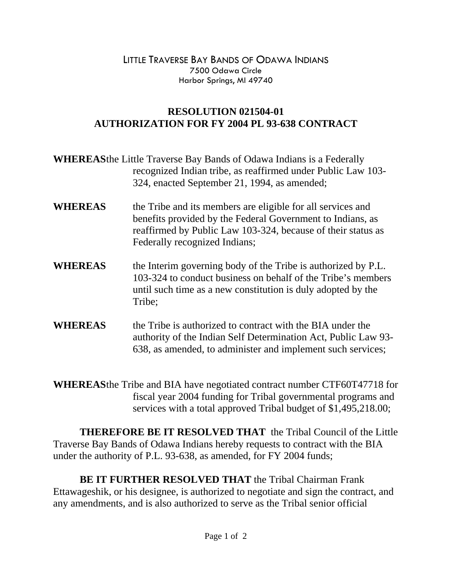LITTLE TRAVERSE BAY BANDS OF ODAWA INDIANS 7500 Odawa Circle Harbor Springs, MI 49740

## **RESOLUTION 021504-01 AUTHORIZATION FOR FY 2004 PL 93-638 CONTRACT**

|                | <b>WHEREASthe Little Traverse Bay Bands of Odawa Indians is a Federally</b><br>recognized Indian tribe, as reaffirmed under Public Law 103-<br>324, enacted September 21, 1994, as amended;                                |
|----------------|----------------------------------------------------------------------------------------------------------------------------------------------------------------------------------------------------------------------------|
| <b>WHEREAS</b> | the Tribe and its members are eligible for all services and<br>benefits provided by the Federal Government to Indians, as<br>reaffirmed by Public Law 103-324, because of their status as<br>Federally recognized Indians; |
| <b>WHEREAS</b> | the Interim governing body of the Tribe is authorized by P.L.<br>103-324 to conduct business on behalf of the Tribe's members<br>until such time as a new constitution is duly adopted by the<br>Tribe;                    |
| <b>WHEREAS</b> | the Tribe is authorized to contract with the BIA under the<br>authority of the Indian Self Determination Act, Public Law 93-<br>638, as amended, to administer and implement such services;                                |

**WHEREAS** the Tribe and BIA have negotiated contract number CTF60T47718 for fiscal year 2004 funding for Tribal governmental programs and services with a total approved Tribal budget of \$1,495,218.00;

**THEREFORE BE IT RESOLVED THAT** the Tribal Council of the Little Traverse Bay Bands of Odawa Indians hereby requests to contract with the BIA under the authority of P.L. 93-638, as amended, for FY 2004 funds;

**BE IT FURTHER RESOLVED THAT** the Tribal Chairman Frank Ettawageshik, or his designee, is authorized to negotiate and sign the contract, and any amendments, and is also authorized to serve as the Tribal senior official